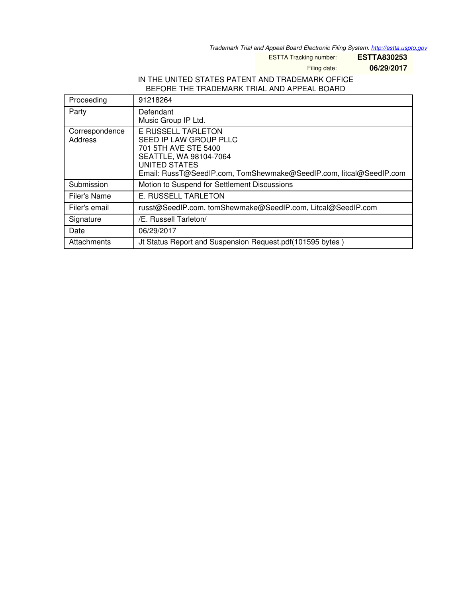*Trademark Trial and Appeal Board Electronic Filing System. <http://estta.uspto.gov>*

ESTTA Tracking number: **ESTTA830253**

Filing date: **06/29/2017**

### IN THE UNITED STATES PATENT AND TRADEMARK OFFICE BEFORE THE TRADEMARK TRIAL AND APPEAL BOARD

| Proceeding                | 91218264                                                                                                                                                                                     |
|---------------------------|----------------------------------------------------------------------------------------------------------------------------------------------------------------------------------------------|
| Party                     | Defendant<br>Music Group IP Ltd.                                                                                                                                                             |
| Correspondence<br>Address | <b>E RUSSELL TARLETON</b><br>SEED IP LAW GROUP PLLC<br>701 5TH AVE STE 5400<br>SEATTLE, WA 98104-7064<br>UNITED STATES<br>Email: RussT@SeedIP.com, TomShewmake@SeedIP.com, litcal@SeedIP.com |
| Submission                | Motion to Suspend for Settlement Discussions                                                                                                                                                 |
| Filer's Name              | E. RUSSELL TARLETON                                                                                                                                                                          |
| Filer's email             | russt@SeedIP.com, tomShewmake@SeedIP.com, Litcal@SeedIP.com                                                                                                                                  |
| Signature                 | /E. Russell Tarleton/                                                                                                                                                                        |
| Date                      | 06/29/2017                                                                                                                                                                                   |
| Attachments               | Jt Status Report and Suspension Request.pdf (101595 bytes)                                                                                                                                   |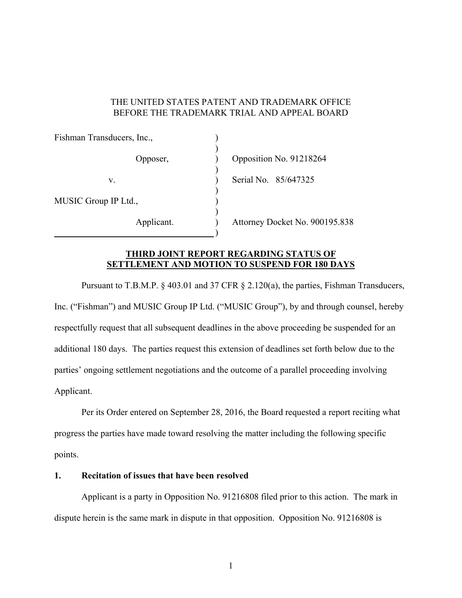### THE UNITED STATES PATENT AND TRADEMARK OFFICE BEFORE THE TRADEMARK TRIAL AND APPEAL BOARD

| Fishman Transducers, Inc., |                                |
|----------------------------|--------------------------------|
| Opposer,                   | Opposition No. 91218264        |
| V.                         | Serial No. 85/647325           |
| MUSIC Group IP Ltd.,       |                                |
| Applicant.                 | Attorney Docket No. 900195.838 |

# **THIRD JOINT REPORT REGARDING STATUS OF SETTLEMENT AND MOTION TO SUSPEND FOR 180 DAYS**

 Pursuant to T.B.M.P. § 403.01 and 37 CFR § 2.120(a), the parties, Fishman Transducers, Inc. ("Fishman") and MUSIC Group IP Ltd. ("MUSIC Group"), by and through counsel, hereby respectfully request that all subsequent deadlines in the above proceeding be suspended for an additional 180 days. The parties request this extension of deadlines set forth below due to the parties' ongoing settlement negotiations and the outcome of a parallel proceeding involving Applicant.

 Per its Order entered on September 28, 2016, the Board requested a report reciting what progress the parties have made toward resolving the matter including the following specific points.

# **1. Recitation of issues that have been resolved**

Applicant is a party in Opposition No. 91216808 filed prior to this action. The mark in dispute herein is the same mark in dispute in that opposition. Opposition No. 91216808 is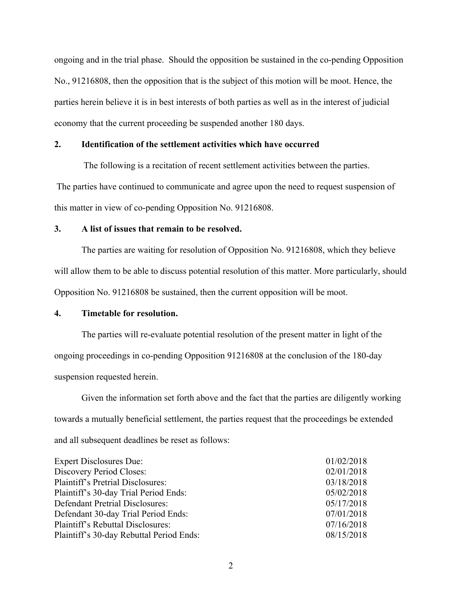ongoing and in the trial phase. Should the opposition be sustained in the co-pending Opposition No., 91216808, then the opposition that is the subject of this motion will be moot. Hence, the parties herein believe it is in best interests of both parties as well as in the interest of judicial economy that the current proceeding be suspended another 180 days.

#### **2. Identification of the settlement activities which have occurred**

 The following is a recitation of recent settlement activities between the parties. The parties have continued to communicate and agree upon the need to request suspension of this matter in view of co-pending Opposition No. 91216808.

### **3. A list of issues that remain to be resolved.**

 The parties are waiting for resolution of Opposition No. 91216808, which they believe will allow them to be able to discuss potential resolution of this matter. More particularly, should Opposition No. 91216808 be sustained, then the current opposition will be moot.

# **4. Timetable for resolution.**

 The parties will re-evaluate potential resolution of the present matter in light of the ongoing proceedings in co-pending Opposition 91216808 at the conclusion of the 180-day suspension requested herein.

 Given the information set forth above and the fact that the parties are diligently working towards a mutually beneficial settlement, the parties request that the proceedings be extended and all subsequent deadlines be reset as follows:

| <b>Expert Disclosures Due:</b>           | 01/02/2018 |
|------------------------------------------|------------|
| Discovery Period Closes:                 | 02/01/2018 |
| <b>Plaintiff's Pretrial Disclosures:</b> | 03/18/2018 |
| Plaintiff's 30-day Trial Period Ends:    | 05/02/2018 |
| Defendant Pretrial Disclosures:          | 05/17/2018 |
| Defendant 30-day Trial Period Ends:      | 07/01/2018 |
| Plaintiff's Rebuttal Disclosures:        | 07/16/2018 |
| Plaintiff's 30-day Rebuttal Period Ends: | 08/15/2018 |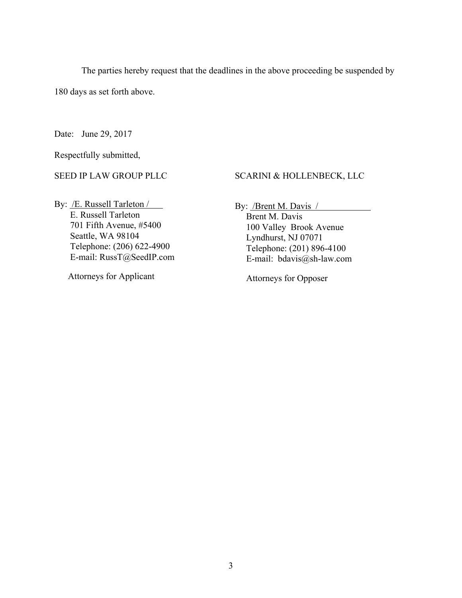The parties hereby request that the deadlines in the above proceeding be suspended by

180 days as set forth above.

Date: June 29, 2017

Respectfully submitted,

SEED IP LAW GROUP PLLC

SCARINI & HOLLENBECK, LLC

By: /E. Russell Tarleton / E. Russell Tarleton 701 Fifth Avenue, #5400 Seattle, WA 98104 Telephone: (206) 622-4900 E-mail: RussT@SeedIP.com

Attorneys for Applicant

By: **/Brent M. Davis /** 

 Brent M. Davis 100 Valley Brook Avenue Lyndhurst, NJ 07071 Telephone: (201) 896-4100 E-mail: bdavis@sh-law.com

Attorneys for Opposer